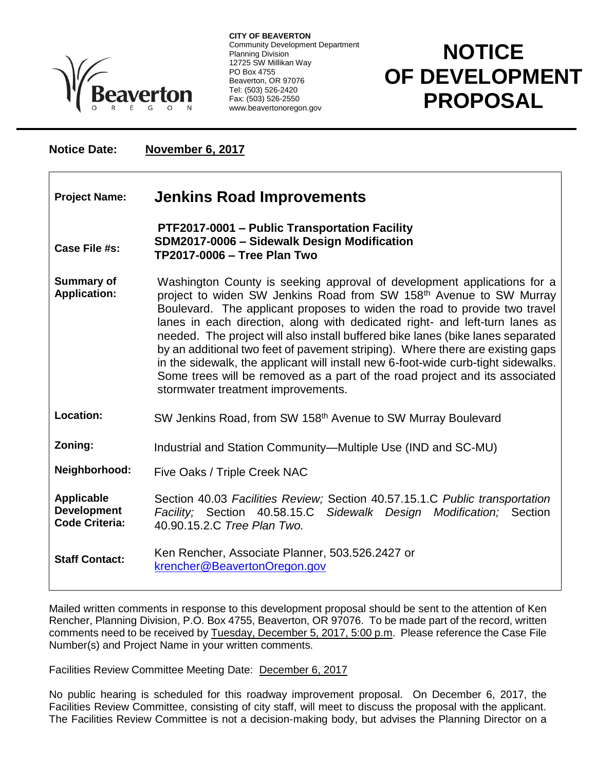

**CITY OF BEAVERTON** Community Development Department Planning Division 12725 SW Millikan Way PO Box 4755 Beaverton, OR 97076 Tel: (503) 526-2420 Fax: (503) 526-2550 www.beavertonoregon.gov

## **NOTICE OF DEVELOPMENT PROPOSAL**

**F**

**Notice Date: November 6, 2017**

| <b>Project Name:</b>                                             | <b>Jenkins Road Improvements</b>                                                                                                                                                                                                                                                                                                                                                                                                                                                                                                                                                                                                                                                                     |
|------------------------------------------------------------------|------------------------------------------------------------------------------------------------------------------------------------------------------------------------------------------------------------------------------------------------------------------------------------------------------------------------------------------------------------------------------------------------------------------------------------------------------------------------------------------------------------------------------------------------------------------------------------------------------------------------------------------------------------------------------------------------------|
| Case File #s:                                                    | PTF2017-0001 - Public Transportation Facility<br>SDM2017-0006 - Sidewalk Design Modification<br><b>TP2017-0006 - Tree Plan Two</b>                                                                                                                                                                                                                                                                                                                                                                                                                                                                                                                                                                   |
| <b>Summary of</b><br><b>Application:</b>                         | Washington County is seeking approval of development applications for a<br>project to widen SW Jenkins Road from SW 158 <sup>th</sup> Avenue to SW Murray<br>Boulevard. The applicant proposes to widen the road to provide two travel<br>lanes in each direction, along with dedicated right- and left-turn lanes as<br>needed. The project will also install buffered bike lanes (bike lanes separated<br>by an additional two feet of pavement striping). Where there are existing gaps<br>in the sidewalk, the applicant will install new 6-foot-wide curb-tight sidewalks.<br>Some trees will be removed as a part of the road project and its associated<br>stormwater treatment improvements. |
| <b>Location:</b>                                                 | SW Jenkins Road, from SW 158 <sup>th</sup> Avenue to SW Murray Boulevard                                                                                                                                                                                                                                                                                                                                                                                                                                                                                                                                                                                                                             |
| Zoning:                                                          | Industrial and Station Community—Multiple Use (IND and SC-MU)                                                                                                                                                                                                                                                                                                                                                                                                                                                                                                                                                                                                                                        |
| Neighborhood:                                                    | Five Oaks / Triple Creek NAC                                                                                                                                                                                                                                                                                                                                                                                                                                                                                                                                                                                                                                                                         |
| <b>Applicable</b><br><b>Development</b><br><b>Code Criteria:</b> | Section 40.03 Facilities Review; Section 40.57.15.1.C Public transportation<br>Facility; Section 40.58.15.C Sidewalk Design Modification; Section<br>40.90.15.2.C Tree Plan Two.                                                                                                                                                                                                                                                                                                                                                                                                                                                                                                                     |
| <b>Staff Contact:</b>                                            | Ken Rencher, Associate Planner, 503.526.2427 or<br>krencher@BeavertonOregon.gov                                                                                                                                                                                                                                                                                                                                                                                                                                                                                                                                                                                                                      |

Mailed written comments in response to this development proposal should be sent to the attention of Ken Rencher, Planning Division, P.O. Box 4755, Beaverton, OR 97076. To be made part of the record, written comments need to be received by Tuesday, December 5, 2017, 5:00 p.m. Please reference the Case File Number(s) and Project Name in your written comments.

Facilities Review Committee Meeting Date: December 6, 2017

No public hearing is scheduled for this roadway improvement proposal. On December 6, 2017, the Facilities Review Committee, consisting of city staff, will meet to discuss the proposal with the applicant. The Facilities Review Committee is not a decision-making body, but advises the Planning Director on a